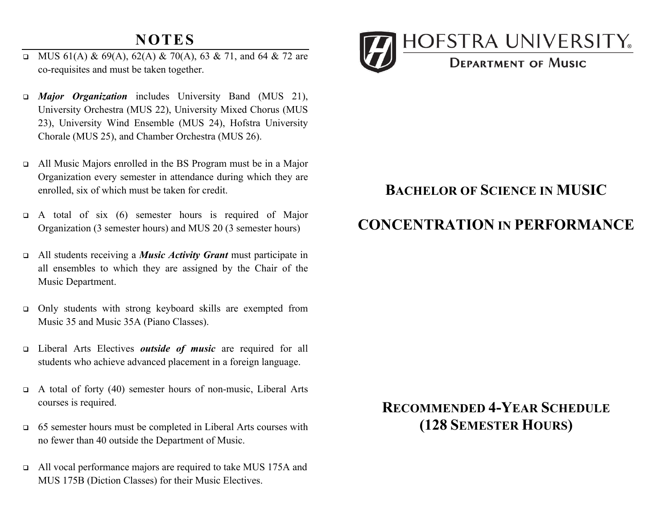### **NOTES**

- MUS 61(A) & 69(A), 62(A) & 70(A), 63 & 71, and 64 & 72 are co-requisites and must be taken together.
- • *Major Organization* includes University Band (MUS 21), University Orchestra (MUS 22), University Mixed Chorus (MUS 23), University Wind Ensemble (MUS 24), Hofstra University Chorale (MUS 25), and Chamber Orchestra (MUS 26).
- • All Music Majors enrolled in the BS Program must be in a Major Organization every semester in attendance during which they are enrolled, six of which must be taken for credit.
- $\Box$  A total of six (6) semester hours is required of Major Organization (3 semester hours) and MUS 20 (3 semester hours)
- • All students receiving a *Music Activity Grant* must participate in all ensembles to which they are assigned by the Chair of the Music Department.
- • Only students with strong keyboard skills are exempted from Music 35 and Music 35A (Piano Classes).
- • Liberal Arts Electives *outside of music* are required for all students who achieve advanced placement in a foreign language.
- • A total of forty (40) semester hours of non-music, Liberal Arts courses is required.
- $\Box$  65 semester hours must be completed in Liberal Arts courses with no fewer than 40 outside the Department of Music.
- All vocal performance majors are required to take MUS 175A and MUS 175B (Diction Classes) for their Music Electives.



## **BACHELOR OF SCIENCE IN MUSIC**

## **CONCENTRATION IN PERFORMANCE**

# **RECOMMENDED 4-YEAR SCHEDULE (128 SEMESTER HOURS)**